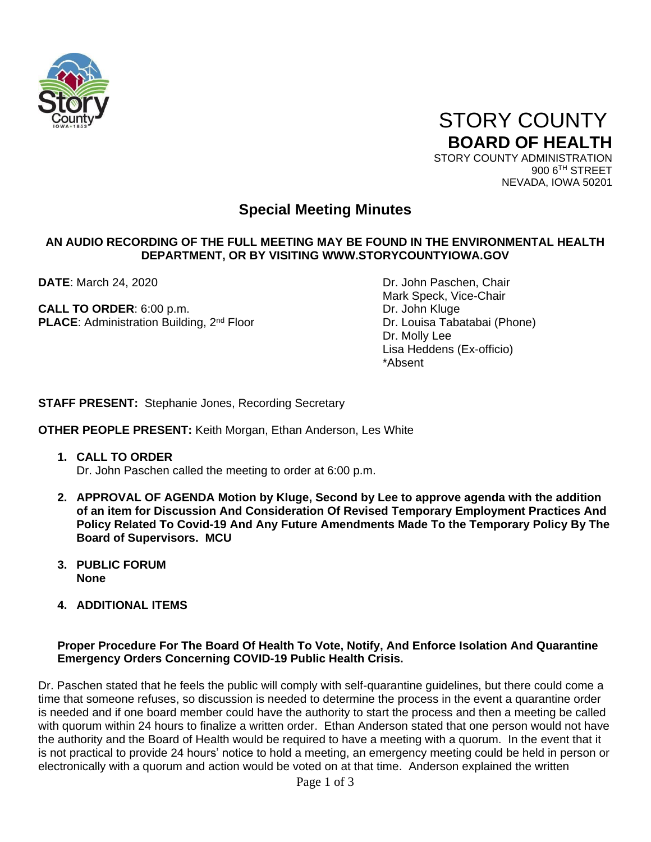

 STORY COUNTY **BOARD OF HEALTH** STORY COUNTY ADMINISTRATION

900 6TH STREET NEVADA, IOWA 50201

# **Special Meeting Minutes**

## **AN AUDIO RECORDING OF THE FULL MEETING MAY BE FOUND IN THE ENVIRONMENTAL HEALTH DEPARTMENT, OR BY VISITING WWW.STORYCOUNTYIOWA.GOV**

**CALL TO ORDER:** 6:00 p.m. Dr. John Kluge **PLACE:** Administration Building, 2<sup>nd</sup> Floor Dr. Louisa Tabatabai (Phone)

**DATE**: March 24, 2020 **DATE:** March 24, 2020 Mark Speck, Vice-Chair Dr. Molly Lee Lisa Heddens (Ex-officio) \*Absent

**STAFF PRESENT:** Stephanie Jones, Recording Secretary

**OTHER PEOPLE PRESENT:** Keith Morgan, Ethan Anderson, Les White

- **1. CALL TO ORDER**  Dr. John Paschen called the meeting to order at 6:00 p.m.
- **2. APPROVAL OF AGENDA Motion by Kluge, Second by Lee to approve agenda with the addition of an item for Discussion And Consideration Of Revised Temporary Employment Practices And Policy Related To Covid-19 And Any Future Amendments Made To the Temporary Policy By The Board of Supervisors. MCU**
- **3. PUBLIC FORUM None**
- **4. ADDITIONAL ITEMS**

## **Proper Procedure For The Board Of Health To Vote, Notify, And Enforce Isolation And Quarantine Emergency Orders Concerning COVID-19 Public Health Crisis.**

Dr. Paschen stated that he feels the public will comply with self-quarantine guidelines, but there could come a time that someone refuses, so discussion is needed to determine the process in the event a quarantine order is needed and if one board member could have the authority to start the process and then a meeting be called with quorum within 24 hours to finalize a written order. Ethan Anderson stated that one person would not have the authority and the Board of Health would be required to have a meeting with a quorum. In the event that it is not practical to provide 24 hours' notice to hold a meeting, an emergency meeting could be held in person or electronically with a quorum and action would be voted on at that time. Anderson explained the written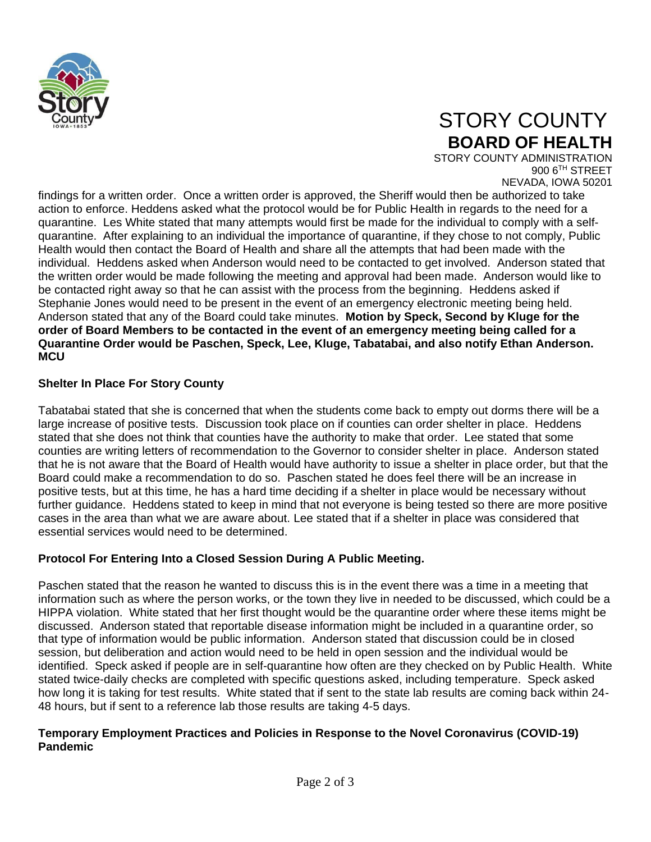

# STORY COUNTY **BOARD OF HEALTH**

STORY COUNTY ADMINISTRATION 900 6TH STREET NEVADA, IOWA 50201

findings for a written order. Once a written order is approved, the Sheriff would then be authorized to take action to enforce. Heddens asked what the protocol would be for Public Health in regards to the need for a quarantine. Les White stated that many attempts would first be made for the individual to comply with a selfquarantine. After explaining to an individual the importance of quarantine, if they chose to not comply, Public Health would then contact the Board of Health and share all the attempts that had been made with the individual. Heddens asked when Anderson would need to be contacted to get involved. Anderson stated that the written order would be made following the meeting and approval had been made. Anderson would like to be contacted right away so that he can assist with the process from the beginning. Heddens asked if Stephanie Jones would need to be present in the event of an emergency electronic meeting being held. Anderson stated that any of the Board could take minutes. **Motion by Speck, Second by Kluge for the order of Board Members to be contacted in the event of an emergency meeting being called for a Quarantine Order would be Paschen, Speck, Lee, Kluge, Tabatabai, and also notify Ethan Anderson. MCU**

# **Shelter In Place For Story County**

Tabatabai stated that she is concerned that when the students come back to empty out dorms there will be a large increase of positive tests. Discussion took place on if counties can order shelter in place. Heddens stated that she does not think that counties have the authority to make that order. Lee stated that some counties are writing letters of recommendation to the Governor to consider shelter in place. Anderson stated that he is not aware that the Board of Health would have authority to issue a shelter in place order, but that the Board could make a recommendation to do so. Paschen stated he does feel there will be an increase in positive tests, but at this time, he has a hard time deciding if a shelter in place would be necessary without further guidance. Heddens stated to keep in mind that not everyone is being tested so there are more positive cases in the area than what we are aware about. Lee stated that if a shelter in place was considered that essential services would need to be determined.

## **Protocol For Entering Into a Closed Session During A Public Meeting.**

Paschen stated that the reason he wanted to discuss this is in the event there was a time in a meeting that information such as where the person works, or the town they live in needed to be discussed, which could be a HIPPA violation. White stated that her first thought would be the quarantine order where these items might be discussed. Anderson stated that reportable disease information might be included in a quarantine order, so that type of information would be public information. Anderson stated that discussion could be in closed session, but deliberation and action would need to be held in open session and the individual would be identified. Speck asked if people are in self-quarantine how often are they checked on by Public Health. White stated twice-daily checks are completed with specific questions asked, including temperature. Speck asked how long it is taking for test results. White stated that if sent to the state lab results are coming back within 24- 48 hours, but if sent to a reference lab those results are taking 4-5 days.

## **Temporary Employment Practices and Policies in Response to the Novel Coronavirus (COVID-19) Pandemic**